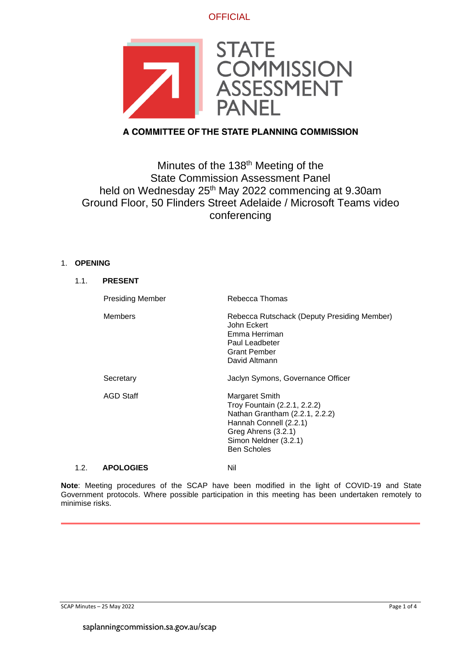**OFFICIAL** 



# A COMMITTEE OF THE STATE PLANNING COMMISSION

# Minutes of the 138<sup>th</sup> Meeting of the State Commission Assessment Panel held on Wednesday 25<sup>th</sup> May 2022 commencing at 9.30am Ground Floor, 50 Flinders Street Adelaide / Microsoft Teams video conferencing

### 1. **OPENING**

| 1.1. | <b>PRESENT</b>          |                                                                                                                                                                                  |
|------|-------------------------|----------------------------------------------------------------------------------------------------------------------------------------------------------------------------------|
|      | <b>Presiding Member</b> | Rebecca Thomas                                                                                                                                                                   |
|      | <b>Members</b>          | Rebecca Rutschack (Deputy Presiding Member)<br>John Eckert<br>Emma Herriman<br>Paul Leadbeter<br><b>Grant Pember</b><br>David Altmann                                            |
|      | Secretary               | Jaclyn Symons, Governance Officer                                                                                                                                                |
|      | <b>AGD Staff</b>        | Margaret Smith<br>Troy Fountain (2.2.1, 2.2.2)<br>Nathan Grantham (2.2.1, 2.2.2)<br>Hannah Connell (2.2.1)<br>Greg Ahrens (3.2.1)<br>Simon Neldner (3.2.1)<br><b>Ben Scholes</b> |
| 1.2. | <b>APOLOGIES</b>        | Nil                                                                                                                                                                              |

### **Note**: Meeting procedures of the SCAP have been modified in the light of COVID-19 and State Government protocols. Where possible participation in this meeting has been undertaken remotely to minimise risks.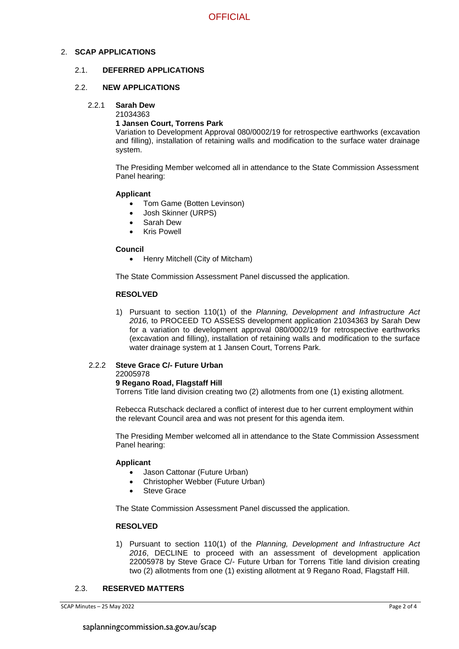### 2. **SCAP APPLICATIONS**

### 2.1. **DEFERRED APPLICATIONS**

### 2.2. **NEW APPLICATIONS**

#### 2.2.1 **Sarah Dew**

21034363

### **1 Jansen Court, Torrens Park**

Variation to Development Approval 080/0002/19 for retrospective earthworks (excavation and filling), installation of retaining walls and modification to the surface water drainage system.

The Presiding Member welcomed all in attendance to the State Commission Assessment Panel hearing:

### **Applicant**

- Tom Game (Botten Levinson)
- Josh Skinner (URPS)
- Sarah Dew
- **Kris Powell**

### **Council**

• Henry Mitchell (City of Mitcham)

The State Commission Assessment Panel discussed the application.

### **RESOLVED**

1) Pursuant to section 110(1) of the *Planning, Development and Infrastructure Act 2016,* to PROCEED TO ASSESS development application 21034363 by Sarah Dew for a variation to development approval 080/0002/19 for retrospective earthworks (excavation and filling), installation of retaining walls and modification to the surface water drainage system at 1 Jansen Court, Torrens Park.

#### 2.2.2 **Steve Grace C/- Future Urban** 22005978

### **9 Regano Road, Flagstaff Hill**

Torrens Title land division creating two (2) allotments from one (1) existing allotment.

Rebecca Rutschack declared a conflict of interest due to her current employment within the relevant Council area and was not present for this agenda item.

The Presiding Member welcomed all in attendance to the State Commission Assessment Panel hearing:

### **Applicant**

- Jason Cattonar (Future Urban)
- Christopher Webber (Future Urban)
- Steve Grace

The State Commission Assessment Panel discussed the application.

### **RESOLVED**

1) Pursuant to section 110(1) of the *Planning, Development and Infrastructure Act 2016*, DECLINE to proceed with an assessment of development application 22005978 by Steve Grace C/- Future Urban for Torrens Title land division creating two (2) allotments from one (1) existing allotment at 9 Regano Road, Flagstaff Hill.

### 2.3. **RESERVED MATTERS**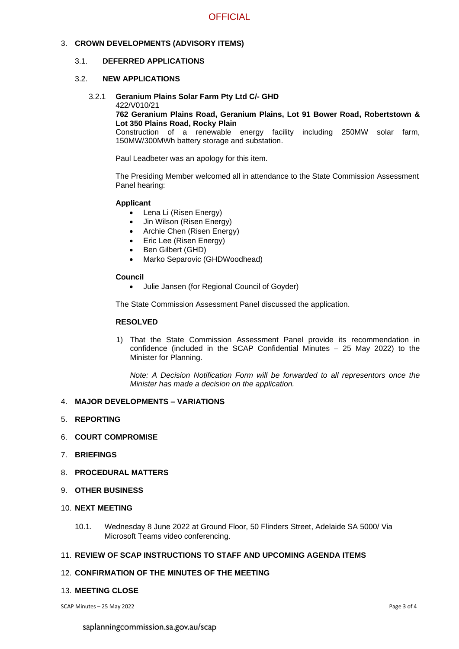### 3. **CROWN DEVELOPMENTS (ADVISORY ITEMS)**

### 3.1. **DEFERRED APPLICATIONS**

### 3.2. **NEW APPLICATIONS**

### 3.2.1 **Geranium Plains Solar Farm Pty Ltd C/- GHD**

### 422/V010/21

### **762 Geranium Plains Road, Geranium Plains, Lot 91 Bower Road, Robertstown & Lot 350 Plains Road, Rocky Plain**

Construction of a renewable energy facility including 250MW solar farm, 150MW/300MWh battery storage and substation.

Paul Leadbeter was an apology for this item.

The Presiding Member welcomed all in attendance to the State Commission Assessment Panel hearing:

### **Applicant**

- Lena Li (Risen Energy)
- Jin Wilson (Risen Energy)
- Archie Chen (Risen Energy)
- Eric Lee (Risen Energy)
- Ben Gilbert (GHD)
- Marko Separovic (GHDWoodhead)

### **Council**

• Julie Jansen (for Regional Council of Goyder)

The State Commission Assessment Panel discussed the application.

### **RESOLVED**

1) That the State Commission Assessment Panel provide its recommendation in confidence (included in the SCAP Confidential Minutes – 25 May 2022) to the Minister for Planning.

*Note: A Decision Notification Form will be forwarded to all representors once the Minister has made a decision on the application.*

### 4. **MAJOR DEVELOPMENTS – VARIATIONS**

- 5. **REPORTING**
- 6. **COURT COMPROMISE**
- 7. **BRIEFINGS**
- 8. **PROCEDURAL MATTERS**
- 9. **OTHER BUSINESS**
- 10. **NEXT MEETING**
	- 10.1. Wednesday 8 June 2022 at Ground Floor, 50 Flinders Street, Adelaide SA 5000/ Via Microsoft Teams video conferencing.

### 11. **REVIEW OF SCAP INSTRUCTIONS TO STAFF AND UPCOMING AGENDA ITEMS**

### 12. **CONFIRMATION OF THE MINUTES OF THE MEETING**

### 13. **MEETING CLOSE**